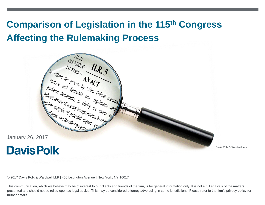# **Comparison of Legislation in the 115th Congress Affecting the Rulemaking Process**



Davis Polk & Wardwell LLP

© 2017 Davis Polk & Wardwell LLP | 450 Lexington Avenue | New York, NY 10017

This communication, which we believe may be of interest to our clients and friends of the firm, is for general information only. It is not a full analysis of the matters presented and should not be relied upon as legal advice. This may be considered attorney advertising in some jurisdictions. Please refer to the firm's privacy policy for further details.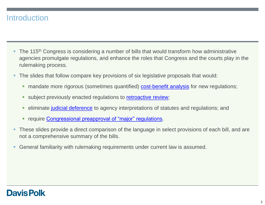#### **Introduction**

- The 115<sup>th</sup> Congress is considering a number of bills that would transform how administrative agencies promulgate regulations, and enhance the roles that Congress and the courts play in the rulemaking process.
- The slides that follow compare key provisions of six legislative proposals that would:
	- **nandate more rigorous (sometimes quantified) [cost-benefit analysis](#page-2-0) for new regulations;**
	- subject previously enacted regulations to [retroactive review](#page-4-0);
	- **EXTERN** eliminate [judicial deference](#page-5-0) to agency interpretations of statutes and regulations; and
	- **Figure [Congressional preapproval of "major" regulations](#page-6-0).**
- These slides provide a direct comparison of the language in select provisions of each bill, and are not a comprehensive summary of the bills.
- General familiarity with rulemaking requirements under current law is assumed.

#### **Davis Polk**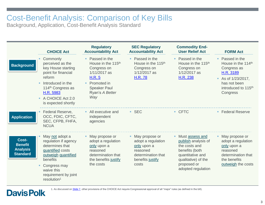### Cost-Benefit Analysis: Comparison of Key Bills

Background, Application, Cost-Benefit Analysis Standard

|                                                               | <b>CHOICE Act</b>                                                                                                                                                                                      | <b>Regulatory</b><br><b>Accountability Act</b>                                                                                                                     | <b>SEC Regulatory</b><br><b>Accountability Act</b>                                                                   | <b>Commodity End-</b><br><b>User Relief Act</b>                                                                                                           | <b>FORM Act</b>                                                                                                                                                     |
|---------------------------------------------------------------|--------------------------------------------------------------------------------------------------------------------------------------------------------------------------------------------------------|--------------------------------------------------------------------------------------------------------------------------------------------------------------------|----------------------------------------------------------------------------------------------------------------------|-----------------------------------------------------------------------------------------------------------------------------------------------------------|---------------------------------------------------------------------------------------------------------------------------------------------------------------------|
| <b>Background</b>                                             | Commonly<br>perceived as the<br>key House starting<br>point for financial<br>reform<br>Introduced in the<br>114 <sup>th</sup> Congress as<br>H.R. 5983<br>A CHOICE Act 2.0<br>٠<br>is expected shortly | Passed in the<br>٠<br>House in the 115 <sup>th</sup><br>Congress on<br>1/11/2017 as<br>H.R. 5<br>Promoted in<br>٠<br><b>Speaker Paul</b><br>Ryan's A Better<br>Way | • Passed in the<br>House in the 115 <sup>th</sup><br>Congress on<br>1/12/2017 as<br><b>H.R. 78</b>                   | • Passed in the<br>House in the 115 <sup>th</sup><br>Congress on<br>1/12/2017 as<br>H.R. 238                                                              | • Passed in the<br>House in the 114 <sup>th</sup><br>Congress as<br>H.R. 3189<br>As of $1/23/2017$ ,<br>has not been<br>introduced to 115 <sup>th</sup><br>Congress |
| <b>Application</b>                                            | Federal Reserve,<br>OCC, FDIC, CFTC,<br>SEC, CFPB, FHFA,<br><b>NCUA</b>                                                                                                                                | All executive and<br>٠<br>independent<br>agencies                                                                                                                  | $-$ SEC                                                                                                              | • CFTC                                                                                                                                                    | • Federal Reserve                                                                                                                                                   |
| Cost-<br><b>Benefit</b><br><b>Analysis</b><br><b>Standard</b> | May not adopt a<br>regulation if agency<br>determines that<br>quantified costs<br>outweigh quantified<br>benefits<br>Congress may<br>waive this<br>requirement by joint<br>resolution <sup>1</sup>     | May propose or<br>٠<br>adopt a regulation<br>only upon a<br>reasoned<br>determination that<br>the benefits justify<br>the costs                                    | • May propose or<br>adopt a regulation<br>only upon a<br>reasoned<br>determination that<br>benefits justify<br>costs | Must assess and<br>publish analysis of<br>the costs and<br>benefits (both<br>quantitative and<br>qualitative) of the<br>proposed or<br>adopted regulation | May propose or<br>adopt a regulation<br>only upon a<br>reasoned<br>determination that<br>the benefits<br>outweigh the costs                                         |

<span id="page-2-0"></span>

1. As discussed on [Slide 7](#page-6-0), other provisions of the CHOICE Act require Congressional approval of all "major" rules (as defined in the bill).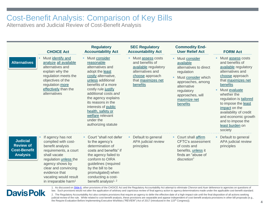### Cost-Benefit Analysis: Comparison of Key Bills

Alternatives and Judicial Review of Cost-Benefit Analysis

|                                                                               |                                                                                                                                                                                                                                                         | <b>Regulatory</b>                                                                                                                                                                                                                                                                                                                    | <b>SEC Regulatory</b>                                                                                                                 | <b>Commodity End-</b>                                                                                                                                                                       |                                                                                                                                                                                                                                                                                                                                                  |
|-------------------------------------------------------------------------------|---------------------------------------------------------------------------------------------------------------------------------------------------------------------------------------------------------------------------------------------------------|--------------------------------------------------------------------------------------------------------------------------------------------------------------------------------------------------------------------------------------------------------------------------------------------------------------------------------------|---------------------------------------------------------------------------------------------------------------------------------------|---------------------------------------------------------------------------------------------------------------------------------------------------------------------------------------------|--------------------------------------------------------------------------------------------------------------------------------------------------------------------------------------------------------------------------------------------------------------------------------------------------------------------------------------------------|
|                                                                               | <b>CHOICE Act</b>                                                                                                                                                                                                                                       | <b>Accountability Act</b>                                                                                                                                                                                                                                                                                                            | <b>Accountability Act</b>                                                                                                             | <b>User Relief Act</b>                                                                                                                                                                      | <b>FORM Act</b>                                                                                                                                                                                                                                                                                                                                  |
| <b>Alternatives</b>                                                           | Must identify and<br>analyze all available<br>alternatives and<br>explain why the<br>regulation meets the<br>objectives of the<br>regulation more<br>effectively than the<br>alternatives                                                               | Must consider<br>reasonable<br>alternatives and<br>adopt the least<br>costly alternative,<br>unless additional<br>benefits of a more<br>costly rule justify<br>additional costs and<br>the agency explains<br>its reasons in the<br>interests of public<br>health, safety or<br>welfare relevant<br>under the<br>authorizing statute | Must assess costs<br>and benefits of<br>available regulatory<br>alternatives and<br>choose approach<br>that maximizes net<br>benefits | Must consider<br>available<br>alternatives to direct<br>regulation<br>Must consider which<br>approaches, among<br>alternative<br>regulatory<br>approaches, will<br>maximize net<br>benefits | Must assess costs<br>and benefits of<br>available regulatory<br>alternatives and<br>choose approach<br>that maximizes net<br>benefits<br>Must evaluate<br>٠<br>whether the<br>regulation is tailored<br>to impose the least<br>impact on the<br>availability of credit<br>and economic growth<br>and to impose the<br>least burden on<br>society |
| <b>Judicial</b><br><b>Review of</b><br><b>Cost-Benefit</b><br><b>Analysis</b> | If agency has not<br>complied with cost-<br>benefit analysis<br>requirements, a court<br>shall vacate<br>regulation unless the<br>agency shows by<br>clear and convincing<br>evidence that<br>vacating would result<br>in irreparable harm <sup>1</sup> | • Court "shall not defer<br>to the agency's<br>determination of<br>costs and benefits" if<br>the agency failed to<br>conform to OIRA<br>guidelines (required<br>by the bill to be<br>promulgated) when<br>conducting a cost-<br>benefit analysis <sup>1, 2</sup>                                                                     | Default to general<br>APA judicial review<br>principles                                                                               | Court shall affirm<br>٠<br>CFTC's assessment<br>of costs and<br>benefits, unless it<br>finds an "abuse of<br>discretion"                                                                    | Default to general<br>APA judicial review<br>principles                                                                                                                                                                                                                                                                                          |

### **Davis Polk**

1. As discussed on [Slide 6,](#page-5-0) other provisions of the CHOICE Act and the Regulatory Accountability Act attempt to eliminate *Chevron* and *Auer* deference to agencies on questions of law. Such provisions would not alter the application of arbitrary and capricious review of final agency action to agency determinations made under the applicable cost-benefit standard.

2. The Regulatory Accountability Act also contains provisions that require an agency to defer the effective date of a high-impact rule until the final disposition of all actions seeking judicial review of the rule. While related to cost-benefit analysis, these provisions are separable and appear independent of cost-benefit analysis provisions in other bill proposals (e.g., the Require Evaluation Before Implementing Executive Wishlists ("REVIEW") Act of 2017 (introduced in the 115<sup>th</sup> Congress)).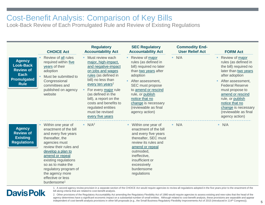## Cost-Benefit Analysis: Comparison of Key Bills

Look-Back Review of Each Promulgated Rule and Review of Existing Regulations

| <b>Agency</b><br><b>Look-Back</b><br><b>Review of</b><br><b>Each</b><br><b>Promulgated</b><br><b>Rule</b> | <b>CHOICE Act</b><br>Review of all rules<br>required within five<br>years of their<br>adoption<br>Must be submitted to<br>Congressional<br>committees and<br>published on agency<br>website                                                                                                                        | <b>Regulatory</b><br><b>Accountability Act</b><br>Must review each<br>major, high-impact,<br>and negative-impact<br>on jobs and wages<br>rules (as defined in<br>bill) no less than<br>every ten years <sup>2</sup><br>For every major rule<br>(as defined in the<br>bill), a report on the<br>costs and benefits to<br>regulated entities<br>must be revised<br>every five years | <b>SEC Regulatory</b><br><b>Accountability Act</b><br>Review of major<br>rules (as defined in<br>bill) required no later<br>than two years after<br>adoption<br>After assessment,<br>SEC must propose<br>to amend or rescind<br>rule, or publish<br>notice that no<br>change is necessary<br>(reviewable as final<br>agency action) | <b>Commodity End-</b><br><b>User Relief Act</b><br>N/A<br>m. | <b>FORM Act</b><br>Review of major<br>×.<br>rules (as defined in<br>the bill) required no<br>later than two years<br>after adoption<br>After assessment,<br><b>Federal Reserve</b><br>must propose to<br>amend or rescind<br>rule, or publish<br>notice that no<br>change is necessary<br>(reviewable as final<br>agency action) |
|-----------------------------------------------------------------------------------------------------------|--------------------------------------------------------------------------------------------------------------------------------------------------------------------------------------------------------------------------------------------------------------------------------------------------------------------|-----------------------------------------------------------------------------------------------------------------------------------------------------------------------------------------------------------------------------------------------------------------------------------------------------------------------------------------------------------------------------------|-------------------------------------------------------------------------------------------------------------------------------------------------------------------------------------------------------------------------------------------------------------------------------------------------------------------------------------|--------------------------------------------------------------|----------------------------------------------------------------------------------------------------------------------------------------------------------------------------------------------------------------------------------------------------------------------------------------------------------------------------------|
| <b>Agency</b><br><b>Review of</b><br><b>Existing</b><br><b>Regulations</b>                                | Within one year of<br>enactment of the bill<br>and every five years<br>thereafter, the<br>agencies must<br>review their rules and<br>develop a plan to<br>amend or repeal<br>existing regulations<br>so as to make the<br>regulatory program of<br>the agency more<br>effective or less<br>burdensome <sup>1</sup> | $N/A^2$                                                                                                                                                                                                                                                                                                                                                                           | Within one year of<br>٠<br>enactment of the bill<br>and every five years<br>thereafter, SEC must<br>review its rules and<br>amend or repeal<br>outmoded,<br>ineffective,<br>insufficient or<br>excessively<br>burdensome<br>regulations                                                                                             | N/A                                                          | N/A                                                                                                                                                                                                                                                                                                                              |

### <span id="page-4-0"></span>**Davis Polk**

1. A second agency review provision in a separate section of the CHOICE Act would require agencies to review all regulations adopted in the five years prior to the enactment of the bill along criteria that are related to cost-benefit analysis.

2. Other provisions of the Regulatory Accountability Act amending the Regulatory Flexibility Act of 1980 would require agencies to assess existing and new rules that the head of the agency determines have a significant economic impact on a substantial number of small entities. Although related to cost-benefit analysis, these provisions are separable and appear independent of cost-benefit analysis provisions in other bill proposals (e.g., the Small Business Regulatory Flexibility Improvements Act of 2015 (introduced in 114<sup>th</sup> Congress)).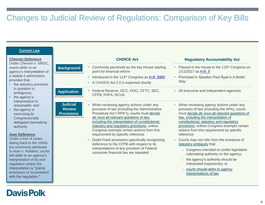### Changes to Judicial Review of Regulations: Comparison of Key Bills

| <b>Current Law</b>                                                                                                                                                                                                                                                                |                                                       |                                                                                                                                                                                                                                                                                                                                                                        |                                                                                                                                                                                                                                                                                                                                         |
|-----------------------------------------------------------------------------------------------------------------------------------------------------------------------------------------------------------------------------------------------------------------------------------|-------------------------------------------------------|------------------------------------------------------------------------------------------------------------------------------------------------------------------------------------------------------------------------------------------------------------------------------------------------------------------------------------------------------------------------|-----------------------------------------------------------------------------------------------------------------------------------------------------------------------------------------------------------------------------------------------------------------------------------------------------------------------------------------|
| <b>Chevron Deference</b><br>Under Chevron v. NRDC,                                                                                                                                                                                                                                |                                                       | <b>CHOICE Act</b>                                                                                                                                                                                                                                                                                                                                                      | <b>Regulatory Accountability Act</b>                                                                                                                                                                                                                                                                                                    |
| courts defer to an<br>agency's interpretation of<br>a statute it administers,<br>provided that:<br>the statutory provision                                                                                                                                                        | <b>Background</b><br>٠<br>٠                           | Commonly perceived as the key House starting<br>point for financial reform<br>Introduced in the 114th Congress as H.R. 5983<br>A CHOICE Act 2.0 is expected shortly                                                                                                                                                                                                    | Passed in the House in the 115 <sup>th</sup> Congress on<br>1/11/2017 as H.R. 5<br>Promoted in Speaker Paul Ryan's A Better<br>Way                                                                                                                                                                                                      |
| in question is<br>ambiguous;<br>the agency's<br>interpretation is                                                                                                                                                                                                                 | ٠<br><b>Application</b>                               | Federal Reserve, OCC, FDIC, CFTC, SEC,<br>CFPB, FHFA, NCUA                                                                                                                                                                                                                                                                                                             | • All executive and independent agencies                                                                                                                                                                                                                                                                                                |
| reasonable; and<br>the agency is<br>exercising its<br>Congressionally<br>delegated lawmaking<br>authority.<br><b>Auer Deference</b>                                                                                                                                               | <b>Judicial</b><br><b>Review</b><br><b>Provisions</b> | When reviewing agency actions under any<br>provision of law (including the Administrative<br>Procedure Act ("APA")), courts must decide<br>de novo all relevant questions of law,<br>including the interpretation of constitutional,<br>statutory and regulatory provisions, unless<br>Congress exempts certain actions from this<br>requirement by specific reference | • When reviewing agency actions under any<br>provision of law (including the APA), courts<br>must decide de novo all relevant questions of<br>law, including the interpretation of<br>constitutional, statutory and regulatory<br>provisions, unless Congress exempts certain<br>actions from this requirement by specific<br>reference |
| Under a line of cases<br>dating back to the 1940s<br>but commonly attributed<br>to Auer v. Robbins, courts<br>will defer to an agency's<br>interpretation of its own<br>regulation unless the<br>interpretation is "plainly<br>erroneous or inconsistent<br>with the regulation." |                                                       | Dodd-Frank provisions specifically recognizing<br>deference to the CFPB with respect to its<br>interpretations of any provision of Federal<br>consumer financial law are repealed                                                                                                                                                                                      | Courts may not infer from the existence of<br>statutory ambiguity that:<br>Congress intended to confer legislative<br>$\circ$<br>rulemaking authority on the agency;<br>$\circ$ the agency's authority should be<br>interpreted expansively; or<br>o courts should defer to agency<br>interpretations of law                            |

### <span id="page-5-0"></span>**Davis Polk**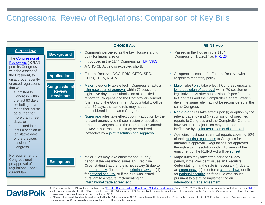### Congressional Review of Regulations: Comparison of Key Bills

|                                                                                                                                                                                                                                                                                                  |                                                            | <b>CHOICE Act</b>                                                                                                                                                                                                                                                                                                                                                                                                                                                                                                                                                                                                               | <b>REINS Act1</b>                                                                                                                                                                                                                                                                                                                                                                                                                                                                                                                                                                                                                                                                                                                                                                                                                  |
|--------------------------------------------------------------------------------------------------------------------------------------------------------------------------------------------------------------------------------------------------------------------------------------------------|------------------------------------------------------------|---------------------------------------------------------------------------------------------------------------------------------------------------------------------------------------------------------------------------------------------------------------------------------------------------------------------------------------------------------------------------------------------------------------------------------------------------------------------------------------------------------------------------------------------------------------------------------------------------------------------------------|------------------------------------------------------------------------------------------------------------------------------------------------------------------------------------------------------------------------------------------------------------------------------------------------------------------------------------------------------------------------------------------------------------------------------------------------------------------------------------------------------------------------------------------------------------------------------------------------------------------------------------------------------------------------------------------------------------------------------------------------------------------------------------------------------------------------------------|
| <b>Current Law</b><br>The Congressional<br><b>Review Act ("CRA")</b><br>permits Congress,                                                                                                                                                                                                        | <b>Background</b>                                          | Commonly perceived as the key House starting<br>point for financial reform<br>Introduced in the 114 <sup>th</sup> Congress as H.R. 5983<br>٠<br>A CHOICE Act 2.0 is expected shortly                                                                                                                                                                                                                                                                                                                                                                                                                                            | Passed in the House in the 115 <sup>th</sup><br>Congress on 1/5/2017 as H.R. 26                                                                                                                                                                                                                                                                                                                                                                                                                                                                                                                                                                                                                                                                                                                                                    |
| with the assent of<br>the President, to<br>disapprove recently                                                                                                                                                                                                                                   | <b>Application</b>                                         | Federal Reserve, OCC, FDIC, CFTC, SEC,<br>ш.<br>CFPB, FHFA, NCUA                                                                                                                                                                                                                                                                                                                                                                                                                                                                                                                                                                | All agencies, except for Federal Reserve with<br>respect to monetary policy                                                                                                                                                                                                                                                                                                                                                                                                                                                                                                                                                                                                                                                                                                                                                        |
| enacted regulations<br>that were:<br>• submitted to<br>Congress within<br>the last 60 days,<br>excluding days<br>that either house<br>adjourned for<br>more than three<br>days; or<br>• submitted in the<br>last 60 session or<br>legislative days<br>of the previous<br>session of<br>Congress. | <b>Congressional</b><br><b>Review</b><br><b>Provisions</b> | Major rules <sup>2</sup> only take effect if Congress enacts a<br>joint resolution of approval within 70 session or<br>legislative days after submission of specified<br>reports to Congress and the Comptroller General<br>(the head of the Government Accountability Office);<br>after 70 days, the same rule may not be<br>reconsidered in the same Congress<br>Non-major rules take effect upon (i) adoption by the<br>relevant agency and (ii) submission of specified<br>reports to Congress and the Comptroller General;<br>however, non-major rules may be rendered<br>ineffective by a joint resolution of disapproval | Major rules <sup>2</sup> only take effect if Congress enacts a<br>joint resolution of approval within 70 session or<br>legislative days after submission of specified reports<br>to Congress and the Comptroller General; after 70<br>days, the same rule may not be reconsidered in the<br>same Congress<br>Non-major rules take effect upon (i) adoption by the<br>relevant agency and (ii) submission of specified<br>reports to Congress and the Comptroller General;<br>however, non-major rules may be rendered<br>ineffective by a joint resolution of disapproval<br>Agencies must submit annual reports covering 10%<br>of their existing regulations to Congress for<br>affirmative approval. Regulations not approved<br>through a joint resolution within 10 years of the<br>enactment of the REINS Act will be sunset |
| No requirement for<br>Congressional<br>preapproval of<br>regulations under<br>current law.                                                                                                                                                                                                       | <b>Exemptions</b>                                          | Major rules may take effect for one 90-day<br>period, if the President issues an Executive<br>Order stating that the rule is necessary (i) due to<br>an emergency, (ii) to enforce criminal laws or (iii)<br>for national security, or if the rule was issued<br>pursuant to a statute implementing an<br>international trade agreement                                                                                                                                                                                                                                                                                         | Major rules may take effect for one 90-day<br>period, if the President issues an Executive<br>Order stating that the rule is necessary (i) due to<br>an emergency, (ii) to enforce criminal laws or (iii)<br>for national security, or if the rule was issued<br>pursuant to a statute implementing an<br>international trade agreement                                                                                                                                                                                                                                                                                                                                                                                                                                                                                            |

### <span id="page-6-0"></span>**Davis Polk**

1. For more on the REINS Act, see our blog post "[Possible Changes in How Regulations Get Made and Unmade](http://www.finregreform.com/single-post/2017/01/09/Possible-Changes-in-How-Regulations-Get-Made-and-Unmade)" (Jan. 9, 2017). The Regulatory Accountability Act, discussed on [Slide 6,](#page-5-0) would not meaningfully alter the CRA but would require the Administrator of OIRA to publish the number and lists of rules submitted to the Comptroller General, as well as those for which a resolution of disapproval was introduced, under the CRA.

2. "Major rules" are defined as those designated by the Administrator of OIRA as resulting or likely to result in: (1) annual economic effects of \$100 million or more; (2) major increases in costs or prices; or (3) certain other significant adverse effects on the economy.